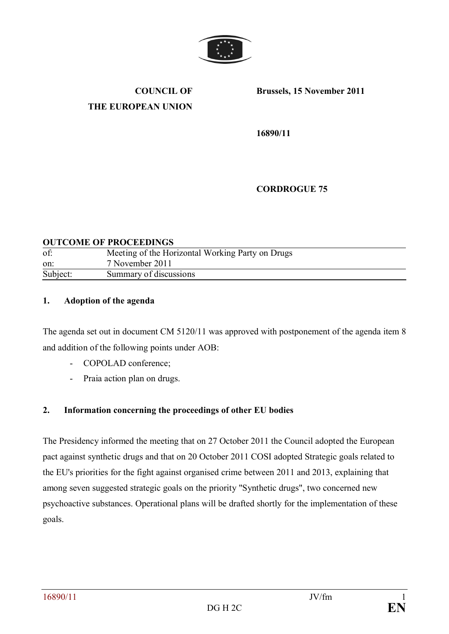

**COUNCIL OF THE EUROPEAN UNION** **Brussels, 15 November 2011**

**16890/11** 

**CORDROGUE 75**

#### **OUTCOME OF PROCEEDINGS**

| of:      | Meeting of the Horizontal Working Party on Drugs |
|----------|--------------------------------------------------|
| on:      | 7 November 2011                                  |
| Subject: | Summary of discussions                           |

#### **1. Adoption of the agenda**

The agenda set out in document CM 5120/11 was approved with postponement of the agenda item 8 and addition of the following points under AOB:

- COPOLAD conference;
- Praia action plan on drugs.

### **2. Information concerning the proceedings of other EU bodies**

The Presidency informed the meeting that on 27 October 2011 the Council adopted the European pact against synthetic drugs and that on 20 October 2011 COSI adopted Strategic goals related to the EU's priorities for the fight against organised crime between 2011 and 2013, explaining that among seven suggested strategic goals on the priority "Synthetic drugs", two concerned new psychoactive substances. Operational plans will be drafted shortly for the implementation of these goals.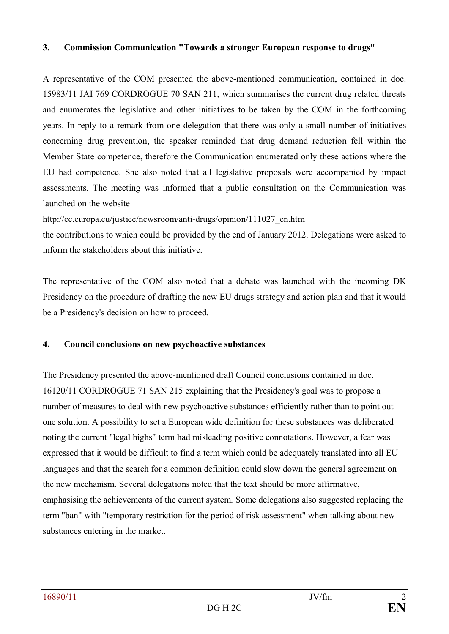### **3. Commission Communication "Towards a stronger European response to drugs"**

A representative of the COM presented the above-mentioned communication, contained in doc. 15983/11 JAI 769 CORDROGUE 70 SAN 211, which summarises the current drug related threats and enumerates the legislative and other initiatives to be taken by the COM in the forthcoming years. In reply to a remark from one delegation that there was only a small number of initiatives concerning drug prevention, the speaker reminded that drug demand reduction fell within the Member State competence, therefore the Communication enumerated only these actions where the EU had competence. She also noted that all legislative proposals were accompanied by impact assessments. The meeting was informed that a public consultation on the Communication was launched on the website

http://ec.europa.eu/justice/newsroom/anti-drugs/opinion/111027\_en.htm

the contributions to which could be provided by the end of January 2012. Delegations were asked to inform the stakeholders about this initiative.

The representative of the COM also noted that a debate was launched with the incoming DK Presidency on the procedure of drafting the new EU drugs strategy and action plan and that it would be a Presidency's decision on how to proceed.

## **4. Council conclusions on new psychoactive substances**

The Presidency presented the above-mentioned draft Council conclusions contained in doc. 16120/11 CORDROGUE 71 SAN 215 explaining that the Presidency's goal was to propose a number of measures to deal with new psychoactive substances efficiently rather than to point out one solution. A possibility to set a European wide definition for these substances was deliberated noting the current "legal highs" term had misleading positive connotations. However, a fear was expressed that it would be difficult to find a term which could be adequately translated into all EU languages and that the search for a common definition could slow down the general agreement on the new mechanism. Several delegations noted that the text should be more affirmative, emphasising the achievements of the current system. Some delegations also suggested replacing the term "ban" with "temporary restriction for the period of risk assessment" when talking about new substances entering in the market.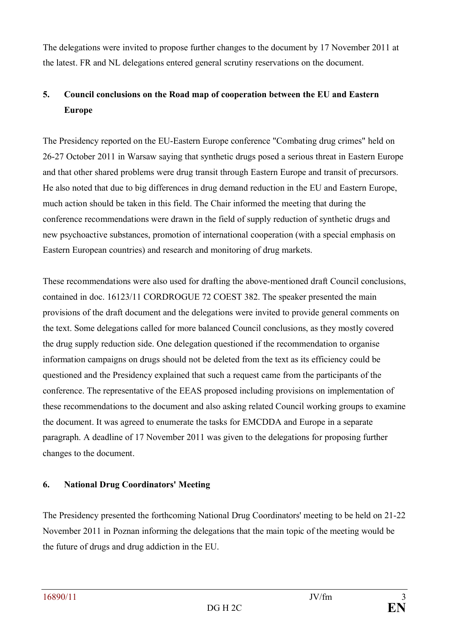The delegations were invited to propose further changes to the document by 17 November 2011 at the latest. FR and NL delegations entered general scrutiny reservations on the document.

# **5. Council conclusions on the Road map of cooperation between the EU and Eastern Europe**

The Presidency reported on the EU-Eastern Europe conference "Combating drug crimes" held on 26-27 October 2011 in Warsaw saying that synthetic drugs posed a serious threat in Eastern Europe and that other shared problems were drug transit through Eastern Europe and transit of precursors. He also noted that due to big differences in drug demand reduction in the EU and Eastern Europe, much action should be taken in this field. The Chair informed the meeting that during the conference recommendations were drawn in the field of supply reduction of synthetic drugs and new psychoactive substances, promotion of international cooperation (with a special emphasis on Eastern European countries) and research and monitoring of drug markets.

These recommendations were also used for drafting the above-mentioned draft Council conclusions, contained in doc. 16123/11 CORDROGUE 72 COEST 382. The speaker presented the main provisions of the draft document and the delegations were invited to provide general comments on the text. Some delegations called for more balanced Council conclusions, as they mostly covered the drug supply reduction side. One delegation questioned if the recommendation to organise information campaigns on drugs should not be deleted from the text as its efficiency could be questioned and the Presidency explained that such a request came from the participants of the conference. The representative of the EEAS proposed including provisions on implementation of these recommendations to the document and also asking related Council working groups to examine the document. It was agreed to enumerate the tasks for EMCDDA and Europe in a separate paragraph. A deadline of 17 November 2011 was given to the delegations for proposing further changes to the document.

## **6. National Drug Coordinators' Meeting**

The Presidency presented the forthcoming National Drug Coordinators' meeting to be held on 21-22 November 2011 in Poznan informing the delegations that the main topic of the meeting would be the future of drugs and drug addiction in the EU.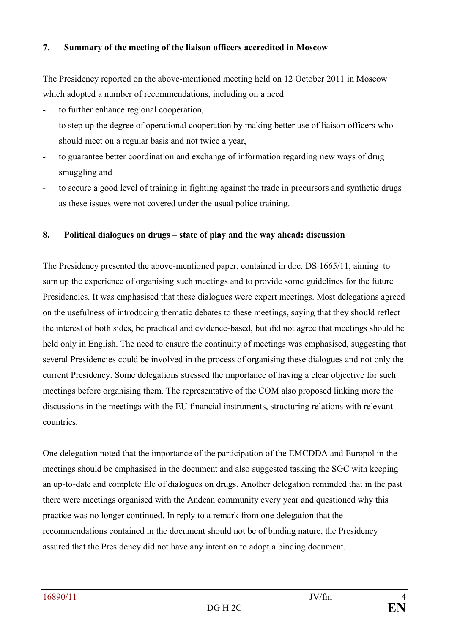## **7. Summary of the meeting of the liaison officers accredited in Moscow**

The Presidency reported on the above-mentioned meeting held on 12 October 2011 in Moscow which adopted a number of recommendations, including on a need

- to further enhance regional cooperation,
- to step up the degree of operational cooperation by making better use of liaison officers who should meet on a regular basis and not twice a year,
- to guarantee better coordination and exchange of information regarding new ways of drug smuggling and
- to secure a good level of training in fighting against the trade in precursors and synthetic drugs as these issues were not covered under the usual police training.

### **8. Political dialogues on drugs – state of play and the way ahead: discussion**

The Presidency presented the above-mentioned paper, contained in doc. DS 1665/11, aiming to sum up the experience of organising such meetings and to provide some guidelines for the future Presidencies. It was emphasised that these dialogues were expert meetings. Most delegations agreed on the usefulness of introducing thematic debates to these meetings, saying that they should reflect the interest of both sides, be practical and evidence-based, but did not agree that meetings should be held only in English. The need to ensure the continuity of meetings was emphasised, suggesting that several Presidencies could be involved in the process of organising these dialogues and not only the current Presidency. Some delegations stressed the importance of having a clear objective for such meetings before organising them. The representative of the COM also proposed linking more the discussions in the meetings with the EU financial instruments, structuring relations with relevant countries.

One delegation noted that the importance of the participation of the EMCDDA and Europol in the meetings should be emphasised in the document and also suggested tasking the SGC with keeping an up-to-date and complete file of dialogues on drugs. Another delegation reminded that in the past there were meetings organised with the Andean community every year and questioned why this practice was no longer continued. In reply to a remark from one delegation that the recommendations contained in the document should not be of binding nature, the Presidency assured that the Presidency did not have any intention to adopt a binding document.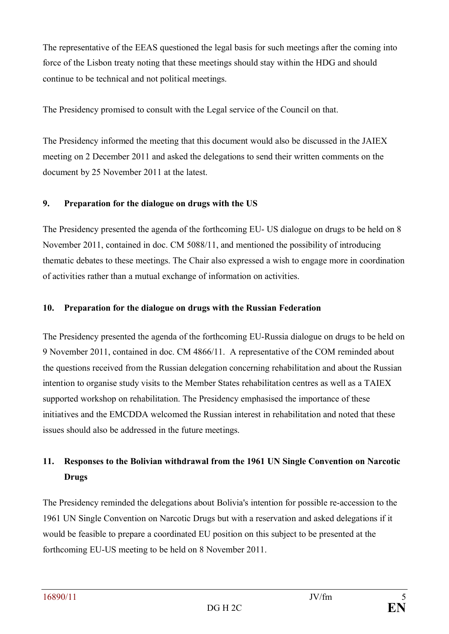The representative of the EEAS questioned the legal basis for such meetings after the coming into force of the Lisbon treaty noting that these meetings should stay within the HDG and should continue to be technical and not political meetings.

The Presidency promised to consult with the Legal service of the Council on that.

The Presidency informed the meeting that this document would also be discussed in the JAIEX meeting on 2 December 2011 and asked the delegations to send their written comments on the document by 25 November 2011 at the latest.

## **9. Preparation for the dialogue on drugs with the US**

The Presidency presented the agenda of the forthcoming EU- US dialogue on drugs to be held on 8 November 2011, contained in doc. CM 5088/11, and mentioned the possibility of introducing thematic debates to these meetings. The Chair also expressed a wish to engage more in coordination of activities rather than a mutual exchange of information on activities.

## **10. Preparation for the dialogue on drugs with the Russian Federation**

The Presidency presented the agenda of the forthcoming EU-Russia dialogue on drugs to be held on 9 November 2011, contained in doc. CM 4866/11. A representative of the COM reminded about the questions received from the Russian delegation concerning rehabilitation and about the Russian intention to organise study visits to the Member States rehabilitation centres as well as a TAIEX supported workshop on rehabilitation. The Presidency emphasised the importance of these initiatives and the EMCDDA welcomed the Russian interest in rehabilitation and noted that these issues should also be addressed in the future meetings.

## **11. Responses to the Bolivian withdrawal from the 1961 UN Single Convention on Narcotic Drugs**

The Presidency reminded the delegations about Bolivia's intention for possible re-accession to the 1961 UN Single Convention on Narcotic Drugs but with a reservation and asked delegations if it would be feasible to prepare a coordinated EU position on this subject to be presented at the forthcoming EU-US meeting to be held on 8 November 2011.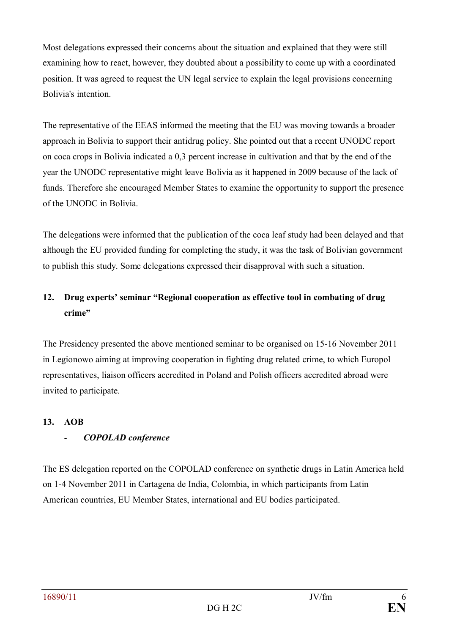Most delegations expressed their concerns about the situation and explained that they were still examining how to react, however, they doubted about a possibility to come up with a coordinated position. It was agreed to request the UN legal service to explain the legal provisions concerning Bolivia's intention.

The representative of the EEAS informed the meeting that the EU was moving towards a broader approach in Bolivia to support their antidrug policy. She pointed out that a recent UNODC report on coca crops in Bolivia indicated a 0,3 percent increase in cultivation and that by the end of the year the UNODC representative might leave Bolivia as it happened in 2009 because of the lack of funds. Therefore she encouraged Member States to examine the opportunity to support the presence of the UNODC in Bolivia.

The delegations were informed that the publication of the coca leaf study had been delayed and that although the EU provided funding for completing the study, it was the task of Bolivian government to publish this study. Some delegations expressed their disapproval with such a situation.

# **12. Drug experts' seminar "Regional cooperation as effective tool in combating of drug crime"**

The Presidency presented the above mentioned seminar to be organised on 15-16 November 2011 in Legionowo aiming at improving cooperation in fighting drug related crime, to which Europol representatives, liaison officers accredited in Poland and Polish officers accredited abroad were invited to participate.

## **13. AOB**

## - *COPOLAD conference*

The ES delegation reported on the COPOLAD conference on synthetic drugs in Latin America held on 1-4 November 2011 in Cartagena de India, Colombia, in which participants from Latin American countries, EU Member States, international and EU bodies participated.